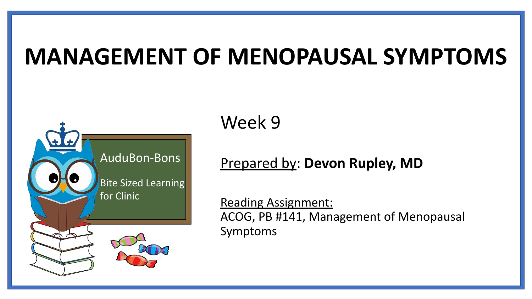# **MANAGEMENT OF MENOPAUSAL SYMPTOMS**



Week 9

#### Prepared by: **Devon Rupley, MD**

Reading Assignment: ACOG, PB #141, Management of Menopausal Symptoms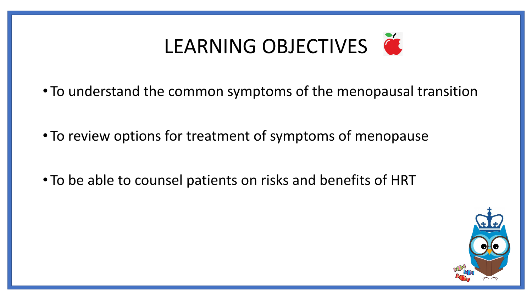

- To understand the common symptoms of the menopausal transition
- To review options for treatment of symptoms of menopause
- To be able to counsel patients on risks and benefits of HRT

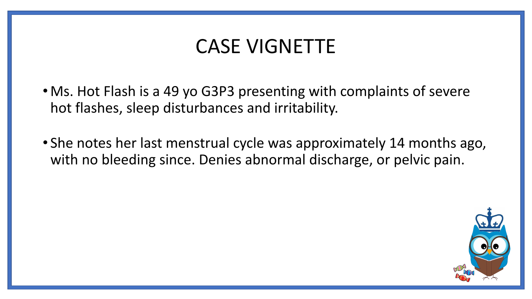### CASE VIGNETTE

- Ms. Hot Flash is a 49 yo G3P3 presenting with complaints of severe hot flashes, sleep disturbances and irritability.
- She notes her last menstrual cycle was approximately 14 months ago, with no bleeding since. Denies abnormal discharge, or pelvic pain.

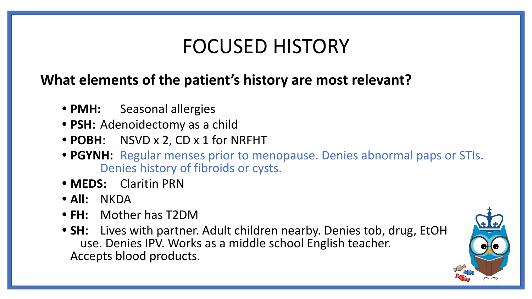### FOCUSED HISTORY

### **What elements of the patient's history are most relevant?**

- **• PMH:** Seasonal allergies
- **• PSH:** Adenoidectomy as a child
- **• POBH**: NSVD x 2, CD x 1 for NRFHT
- **• PGYNH:** Regular menses prior to menopause. Denies abnormal paps or STIs. Denies history of fibroids or cysts.
- **• MEDS:** Claritin PRN
- **• All:** NKDA
- **• FH:** Mother has T2DM
- **• SH:** Lives with partner. Adult children nearby. Denies tob, drug, EtOH use. Denies IPV. Works as a middle school English teacher. Accepts blood products.

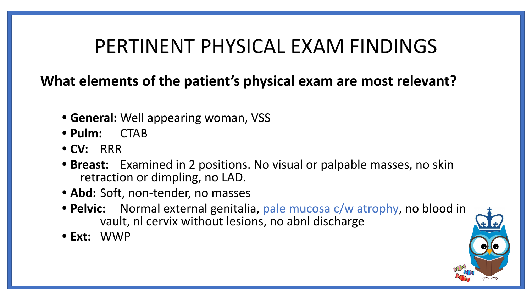### PERTINENT PHYSICAL EXAM FINDINGS

**What elements of the patient's physical exam are most relevant?**

- **• General:** Well appearing woman, VSS
- **• Pulm:** CTAB
- **• CV:** RRR
- **• Breast:** Examined in 2 positions. No visual or palpable masses, no skin retraction or dimpling, no LAD.
- **• Abd:** Soft, non-tender, no masses
- **• Pelvic:** Normal external genitalia, pale mucosa c/w atrophy, no blood in vault, nl cervix without lesions, no abnl discharge
- **• Ext:** WWP

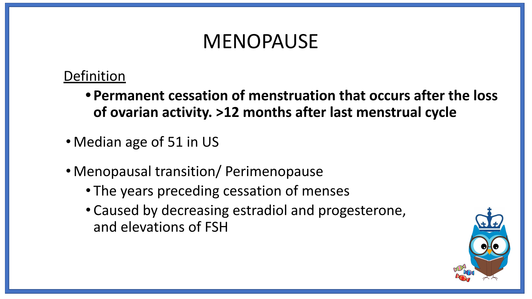### MENOPAUSE

#### **Definition**

- **• Permanent cessation of menstruation that occurs after the loss of ovarian activity. >12 months after last menstrual cycle**
- Median age of 51 in US
- Menopausal transition/ Perimenopause
	- The years preceding cessation of menses
	- Caused by decreasing estradiol and progesterone, and elevations of FSH

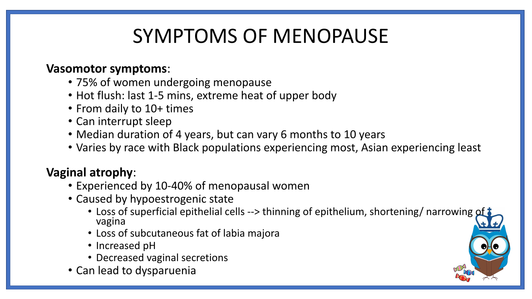# SYMPTOMS OF MENOPAUSE

#### **Vasomotor symptoms**:

- 75% of women undergoing menopause
- Hot flush: last 1-5 mins, extreme heat of upper body
- From daily to 10+ times
- Can interrupt sleep
- Median duration of 4 years, but can vary 6 months to 10 years
- Varies by race with Black populations experiencing most, Asian experiencing least

#### **Vaginal atrophy**:

- Experienced by 10-40% of menopausal women
- Caused by hypoestrogenic state
	- Loss of superficial epithelial cells --> thinning of epithelium, shortening/ narrowing of vagina
	- Loss of subcutaneous fat of labia majora
	- Increased pH
	- Decreased vaginal secretions
- Can lead to dysparuenia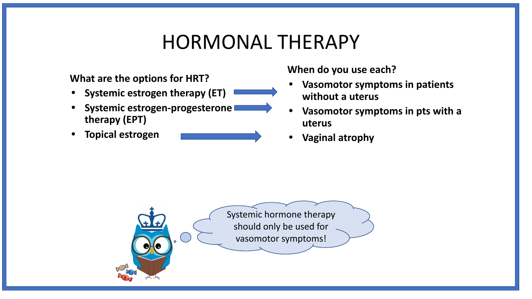### HORMONAL THERAPY

#### **What are the options for HRT?**

- **• Systemic estrogen therapy (ET)**
- **• Systemic estrogen-progesterone therapy (EPT)**
- **• Topical estrogen**



**When do you use each?**

- **• Vasomotor symptoms in patients without a uterus**
- **• Vasomotor symptoms in pts with a uterus**
- **• Vaginal atrophy**

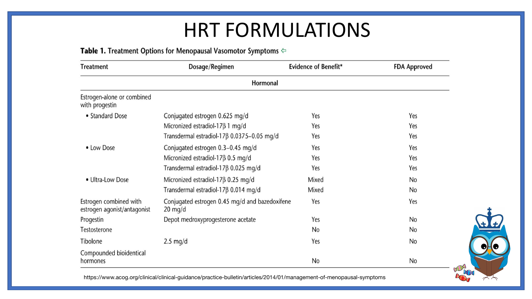### HRT FORMULATIONS

#### Table 1. Treatment Options for Menopausal Vasomotor Symptoms ⇔

| <b>Treatment</b>                                      | Dosage/Regimen                                                      | <b>Evidence of Benefit*</b> | <b>FDA Approved</b> |  |  |  |  |
|-------------------------------------------------------|---------------------------------------------------------------------|-----------------------------|---------------------|--|--|--|--|
| Hormonal                                              |                                                                     |                             |                     |  |  |  |  |
| Estrogen-alone or combined<br>with progestin          |                                                                     |                             |                     |  |  |  |  |
| • Standard Dose                                       | Conjugated estrogen 0.625 mg/d                                      | Yes                         | Yes                 |  |  |  |  |
|                                                       | Micronized estradiol-17 $\beta$ 1 mg/d                              | Yes                         | Yes                 |  |  |  |  |
|                                                       | Transdermal estradiol-17 <sub>8</sub> 0.0375-0.05 mg/d              | Yes                         | Yes                 |  |  |  |  |
| • Low Dose                                            | Conjugated estrogen 0.3-0.45 mg/d                                   | Yes                         | Yes                 |  |  |  |  |
|                                                       | Micronized estradiol-17 $\beta$ 0.5 mg/d                            | Yes                         | Yes                 |  |  |  |  |
|                                                       | Transdermal estradiol-17 $\beta$ 0.025 mg/d                         | Yes                         | Yes                 |  |  |  |  |
| • Ultra-Low Dose                                      | Micronized estradiol-17 $\beta$ 0.25 mg/d                           | Mixed                       | No                  |  |  |  |  |
|                                                       | Transdermal estradiol-17 <sub>8</sub> 0.014 mg/d                    | Mixed                       | No                  |  |  |  |  |
| Estrogen combined with<br>estrogen agonist/antagonist | Conjugated estrogen 0.45 mg/d and bazedoxifene<br>$20 \text{ mg/d}$ | Yes                         | Yes                 |  |  |  |  |
| Progestin                                             | Depot medroxyprogesterone acetate                                   | Yes                         | No                  |  |  |  |  |
| Testosterone                                          |                                                                     | No                          | No                  |  |  |  |  |
| Tibolone                                              | $2.5 \text{ mg/d}$                                                  | Yes                         | No                  |  |  |  |  |
| Compounded bioidentical<br>hormones                   |                                                                     | No                          | No                  |  |  |  |  |

https://www.acog.org/clinical/clinical-guidance/practice-bulletin/articles/2014/01/management-of-menopausal-symptoms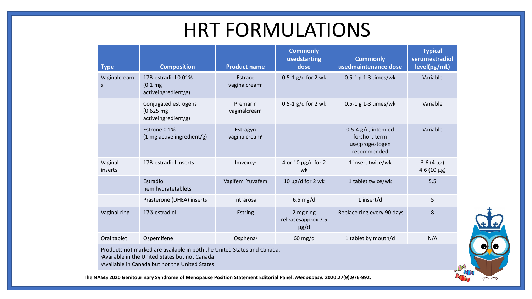### HRT FORMULATIONS

| <b>Type</b>                                                                                                                                                                             | <b>Composition</b>                                                  | <b>Product name</b>                   | <b>Commonly</b><br>usedstarting<br>dose      | <b>Commonly</b><br>usedmaintenance dose                                   | <b>Typical</b><br>serumestradiol<br>level(pg/mL) |  |  |
|-----------------------------------------------------------------------------------------------------------------------------------------------------------------------------------------|---------------------------------------------------------------------|---------------------------------------|----------------------------------------------|---------------------------------------------------------------------------|--------------------------------------------------|--|--|
| Vaginalcream<br>$\mathsf{S}$                                                                                                                                                            | 17B-estradiol 0.01%<br>(0.1 <sub>mg</sub> )<br>activeingredient/g)  | Estrace<br>vaginalcream <sup>®</sup>  | 0.5-1 $g/d$ for 2 wk                         | 0.5-1 g 1-3 times/wk                                                      | Variable                                         |  |  |
|                                                                                                                                                                                         | Conjugated estrogens<br>$(0.625 \text{ mg})$<br>activeingredient/g) | Premarin<br>vaginalcream              | $0.5-1$ g/d for 2 wk                         | 0.5-1 g 1-3 times/wk                                                      | Variable                                         |  |  |
|                                                                                                                                                                                         | Estrone 0.1%<br>$(1 \text{ mg active ingredient/g})$                | Estragyn<br>vaginalcream <sup>b</sup> |                                              | 0.5-4 $g/d$ , intended<br>forshort-term<br>use;progestogen<br>recommended | Variable                                         |  |  |
| Vaginal<br>inserts                                                                                                                                                                      | 17B-estradiol inserts                                               | <b>Imvexxy</b> <sup>a</sup>           | 4 or 10 $\mu$ g/d for 2<br>wk                | 1 insert twice/wk                                                         | $3.6(4 \mu g)$<br>$4.6(10 \,\mu g)$              |  |  |
|                                                                                                                                                                                         | Estradiol<br>hemihydratetablets                                     | Vagifem Yuvafem                       | $10 \mu g/d$ for 2 wk                        | 1 tablet twice/wk                                                         | 5.5                                              |  |  |
|                                                                                                                                                                                         | Prasterone (DHEA) inserts                                           | Intrarosa                             | $6.5$ mg/d                                   | 1 insert/d                                                                | 5                                                |  |  |
| Vaginal ring                                                                                                                                                                            | $17\beta$ -estradiol                                                | Estring                               | 2 mg ring<br>releasesapprox 7.5<br>$\mu$ g/d | Replace ring every 90 days                                                | 8                                                |  |  |
| Oral tablet                                                                                                                                                                             | Ospemifene                                                          | Osphena                               | $60$ mg/d                                    | 1 tablet by mouth/d                                                       | N/A                                              |  |  |
| Products not marked are available in both the United States and Canada.<br><b>Available in the United States but not Canada</b><br><b>Available in Canada but not the United States</b> |                                                                     |                                       |                                              |                                                                           |                                                  |  |  |

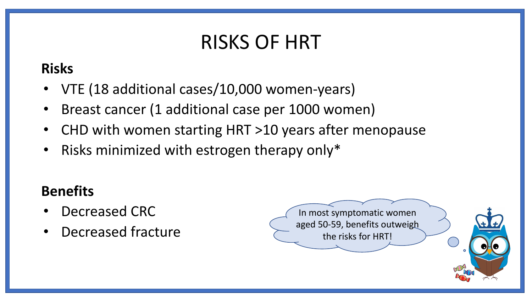# RISKS OF HRT

### **Risks**

- VTE (18 additional cases/10,000 women-years)
- Breast cancer (1 additional case per 1000 women)
- CHD with women starting HRT >10 years after menopause
- Risks minimized with estrogen therapy only\*

### **Benefits**

- Decreased CRC
- Decreased fracture

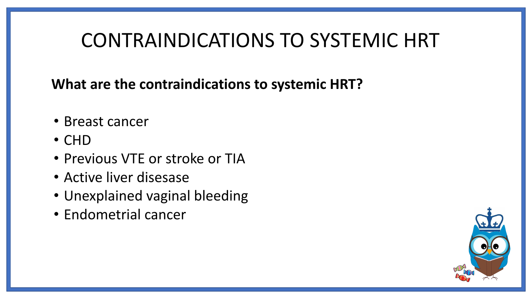# CONTRAINDICATIONS TO SYSTEMIC HRT

**What are the contraindications to systemic HRT?**

- Breast cancer
- CHD
- Previous VTE or stroke or TIA
- Active liver disesase
- Unexplained vaginal bleeding
- Endometrial cancer

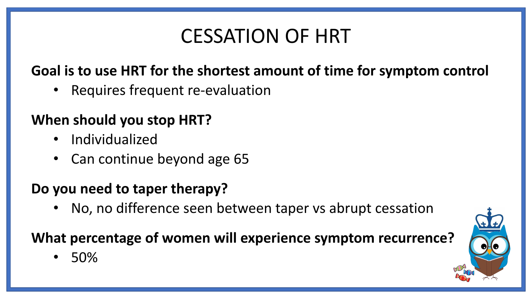# CESSATION OF HRT

### **Goal is to use HRT for the shortest amount of time for symptom control**

• Requires frequent re-evaluation

### **When should you stop HRT?**

- Individualized
- Can continue beyond age 65

#### **Do you need to taper therapy?**

• No, no difference seen between taper vs abrupt cessation

### **What percentage of women will experience symptom recurrence?**

• 50%

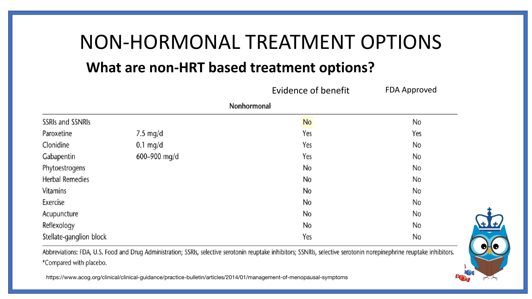# NON-HORMONAL TREATMENT OPTIONS

#### **What are non-HRT based treatment options?**

|                         |                    | Evidence of benefit | <b>FDA Approved</b> |  |  |  |  |
|-------------------------|--------------------|---------------------|---------------------|--|--|--|--|
| Nonhormonal             |                    |                     |                     |  |  |  |  |
| <b>SSRIs and SSNRIs</b> |                    | No                  | No                  |  |  |  |  |
| Paroxetine              | $7.5 \text{ mg/d}$ | Yes                 | Yes                 |  |  |  |  |
| Clonidine               | $0.1$ mg/d         | Yes                 | No                  |  |  |  |  |
| Gabapentin              | 600-900 mg/d       | Yes                 | No                  |  |  |  |  |
| Phytoestrogens          |                    | No                  | No                  |  |  |  |  |
| <b>Herbal Remedies</b>  |                    | No                  | No                  |  |  |  |  |
| <b>Vitamins</b>         |                    | No                  | No                  |  |  |  |  |
| Exercise                |                    | No                  | No                  |  |  |  |  |
| Acupuncture             |                    | No                  | No                  |  |  |  |  |
| Reflexology             |                    | No                  | No                  |  |  |  |  |
| Stellate-ganglion block |                    | Yes                 | No                  |  |  |  |  |

Abbreviations: FDA, U.S. Food and Drug Administration; SSRIs, selective serotonin reuptake inhibitors; SSNRIs, selective serotonin norepinephrine reuptake inhibitors. \*Compared with placebo.

https://www.acog.org/clinical/clinical-guidance/practice-bulletin/articles/2014/01/management-of-menopausal-symptoms

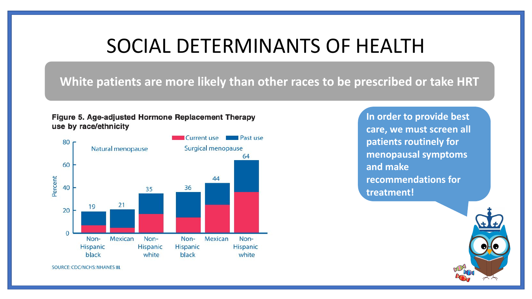### SOCIAL DETERMINANTS OF HEALTH

#### **White patients are more likely than other races to be prescribed or take HRT**





**In order to provide best care, we must screen all patients routinely for menopausal symptoms and make recommendations for treatment!** 



SOURCE: CDC/NCHS: NHANES III.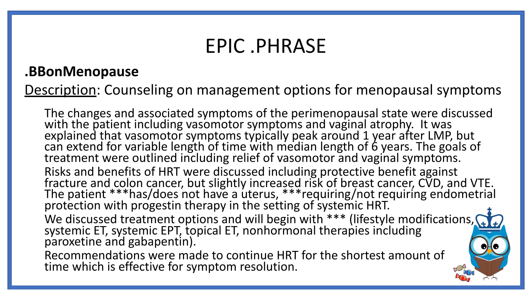### EPIC .PHRASE

#### **.BBonMenopause**

Description: Counseling on management options for menopausal symptoms

The changes and associated symptoms of the perimenopausal state were discussed with the patient including vasomotor symptoms and vaginal atrophy. It was explained that vasomotor symptoms typically peak around 1 year after LMP, but can extend for variable length of time with median length of 6 years. The goals of treatment were outlined including relief of vasomotor and vaginal symptoms. Risks and benefits of HRT were discussed including protective benefit against fracture and colon cancer, but slightly increased risk of breast cancer, CVD, and VTE. The patient \*\*\*has/does not have a uterus, \*\*\*requiring/not requiring endometrial protection with progestin therapy in the setting of systemic HRT. We discussed treatment options and will begin with \*\*\* (lifestyle modifications, systemic ET, systemic EPT, topical ET, nonhormonal therapies including paroxetine and gabapentin). Recommendations were made to continue HRT for the shortest amount of

time which is effective for symptom resolution.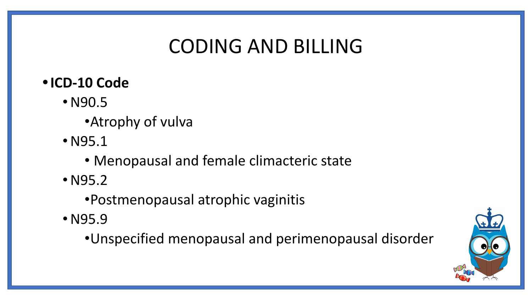# CODING AND BILLING

- **•ICD-10 Code** 
	- N90.5
		- •Atrophy of vulva
	- N95.1
		- Menopausal and female climacteric state
	- N95.2
		- •Postmenopausal atrophic vaginitis
	- N95.9
		- •Unspecified menopausal and perimenopausal disorder